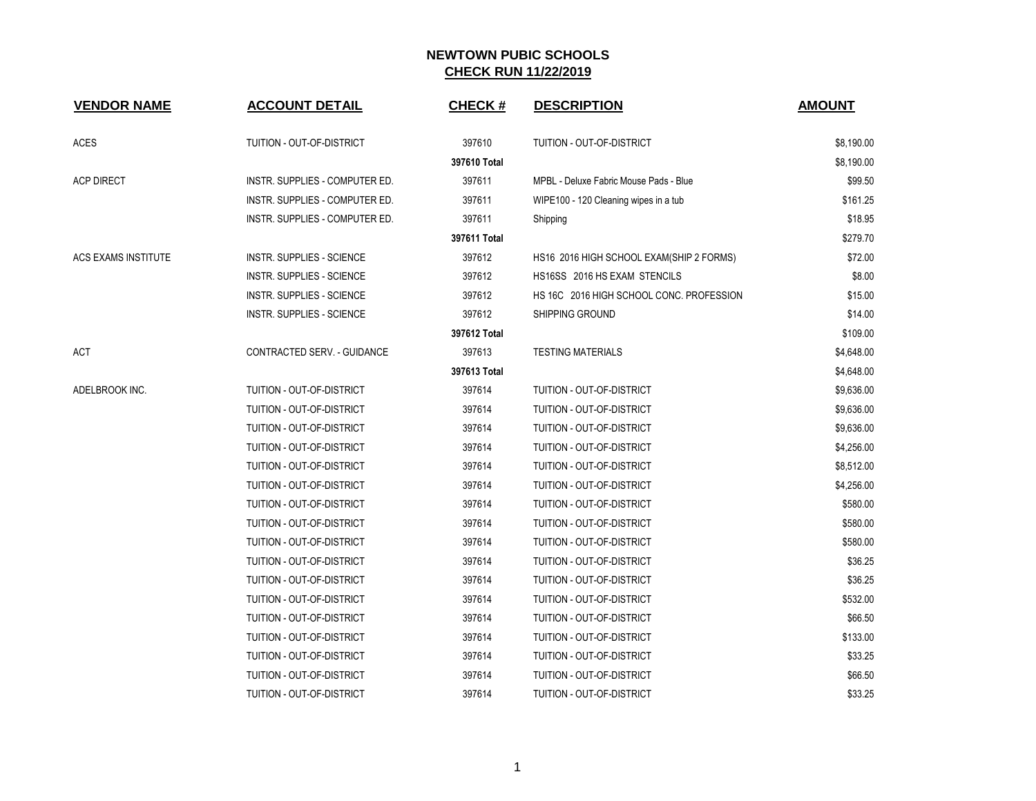| <b>VENDOR NAME</b>  | <b>ACCOUNT DETAIL</b>            | <b>CHECK#</b> | <b>DESCRIPTION</b>                       | <b>AMOUNT</b> |
|---------------------|----------------------------------|---------------|------------------------------------------|---------------|
| ACES                | TUITION - OUT-OF-DISTRICT        | 397610        | TUITION - OUT-OF-DISTRICT                | \$8,190.00    |
|                     |                                  | 397610 Total  |                                          | \$8,190.00    |
| <b>ACP DIRECT</b>   | INSTR. SUPPLIES - COMPUTER ED.   | 397611        | MPBL - Deluxe Fabric Mouse Pads - Blue   | \$99.50       |
|                     | INSTR. SUPPLIES - COMPUTER ED.   | 397611        | WIPE100 - 120 Cleaning wipes in a tub    | \$161.25      |
|                     | INSTR. SUPPLIES - COMPUTER ED.   | 397611        | Shipping                                 | \$18.95       |
|                     |                                  | 397611 Total  |                                          | \$279.70      |
| ACS EXAMS INSTITUTE | <b>INSTR. SUPPLIES - SCIENCE</b> | 397612        | HS16 2016 HIGH SCHOOL EXAM(SHIP 2 FORMS) | \$72.00       |
|                     | <b>INSTR. SUPPLIES - SCIENCE</b> | 397612        | HS16SS 2016 HS EXAM STENCILS             | \$8.00        |
|                     | <b>INSTR. SUPPLIES - SCIENCE</b> | 397612        | HS 16C 2016 HIGH SCHOOL CONC. PROFESSION | \$15.00       |
|                     | <b>INSTR. SUPPLIES - SCIENCE</b> | 397612        | SHIPPING GROUND                          | \$14.00       |
|                     |                                  | 397612 Total  |                                          | \$109.00      |
| ACT                 | CONTRACTED SERV. - GUIDANCE      | 397613        | <b>TESTING MATERIALS</b>                 | \$4,648.00    |
|                     |                                  | 397613 Total  |                                          | \$4,648.00    |
| ADELBROOK INC.      | TUITION - OUT-OF-DISTRICT        | 397614        | TUITION - OUT-OF-DISTRICT                | \$9,636.00    |
|                     | TUITION - OUT-OF-DISTRICT        | 397614        | TUITION - OUT-OF-DISTRICT                | \$9,636.00    |
|                     | TUITION - OUT-OF-DISTRICT        | 397614        | TUITION - OUT-OF-DISTRICT                | \$9,636.00    |
|                     | TUITION - OUT-OF-DISTRICT        | 397614        | TUITION - OUT-OF-DISTRICT                | \$4,256.00    |
|                     | TUITION - OUT-OF-DISTRICT        | 397614        | TUITION - OUT-OF-DISTRICT                | \$8,512.00    |
|                     | TUITION - OUT-OF-DISTRICT        | 397614        | TUITION - OUT-OF-DISTRICT                | \$4,256.00    |
|                     | TUITION - OUT-OF-DISTRICT        | 397614        | TUITION - OUT-OF-DISTRICT                | \$580.00      |
|                     | TUITION - OUT-OF-DISTRICT        | 397614        | TUITION - OUT-OF-DISTRICT                | \$580.00      |
|                     | TUITION - OUT-OF-DISTRICT        | 397614        | TUITION - OUT-OF-DISTRICT                | \$580.00      |
|                     | TUITION - OUT-OF-DISTRICT        | 397614        | TUITION - OUT-OF-DISTRICT                | \$36.25       |
|                     | TUITION - OUT-OF-DISTRICT        | 397614        | TUITION - OUT-OF-DISTRICT                | \$36.25       |
|                     | TUITION - OUT-OF-DISTRICT        | 397614        | TUITION - OUT-OF-DISTRICT                | \$532.00      |
|                     | TUITION - OUT-OF-DISTRICT        | 397614        | TUITION - OUT-OF-DISTRICT                | \$66.50       |
|                     | TUITION - OUT-OF-DISTRICT        | 397614        | TUITION - OUT-OF-DISTRICT                | \$133.00      |
|                     | TUITION - OUT-OF-DISTRICT        | 397614        | TUITION - OUT-OF-DISTRICT                | \$33.25       |
|                     | TUITION - OUT-OF-DISTRICT        | 397614        | TUITION - OUT-OF-DISTRICT                | \$66.50       |
|                     | TUITION - OUT-OF-DISTRICT        | 397614        | TUITION - OUT-OF-DISTRICT                | \$33.25       |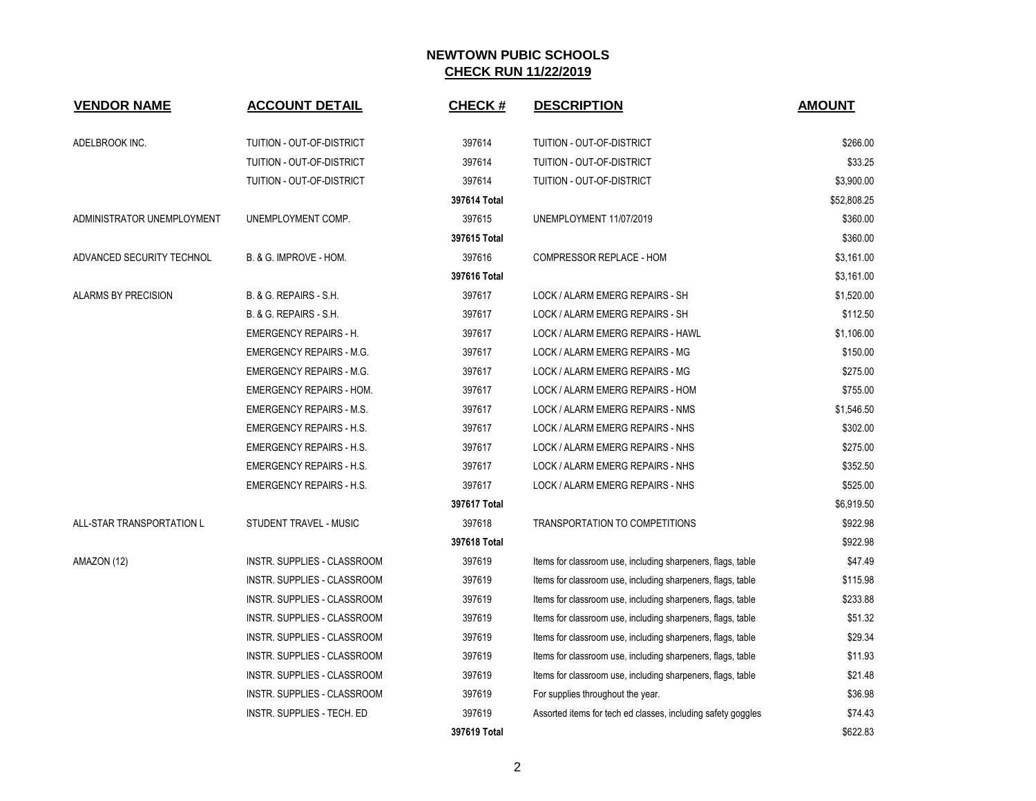| <b>VENDOR NAME</b>         | <b>ACCOUNT DETAIL</b>              | <b>CHECK#</b> | <b>DESCRIPTION</b>                                           | <b>AMOUNT</b> |
|----------------------------|------------------------------------|---------------|--------------------------------------------------------------|---------------|
| ADELBROOK INC.             | <b>TUITION - OUT-OF-DISTRICT</b>   | 397614        | <b>TUITION - OUT-OF-DISTRICT</b>                             | \$266.00      |
|                            | TUITION - OUT-OF-DISTRICT          | 397614        | TUITION - OUT-OF-DISTRICT                                    | \$33.25       |
|                            | TUITION - OUT-OF-DISTRICT          | 397614        | TUITION - OUT-OF-DISTRICT                                    | \$3,900.00    |
|                            |                                    | 397614 Total  |                                                              | \$52,808.25   |
| ADMINISTRATOR UNEMPLOYMENT | UNEMPLOYMENT COMP.                 | 397615        | UNEMPLOYMENT 11/07/2019                                      | \$360.00      |
|                            |                                    | 397615 Total  |                                                              | \$360.00      |
| ADVANCED SECURITY TECHNOL  | B. & G. IMPROVE - HOM.             | 397616        | COMPRESSOR REPLACE - HOM                                     | \$3,161.00    |
|                            |                                    | 397616 Total  |                                                              | \$3,161.00    |
| <b>ALARMS BY PRECISION</b> | B. & G. REPAIRS - S.H.             | 397617        | LOCK / ALARM EMERG REPAIRS - SH                              | \$1,520.00    |
|                            | B. & G. REPAIRS - S.H.             | 397617        | LOCK / ALARM EMERG REPAIRS - SH                              | \$112.50      |
|                            | <b>EMERGENCY REPAIRS - H.</b>      | 397617        | LOCK / ALARM EMERG REPAIRS - HAWL                            | \$1,106.00    |
|                            | <b>EMERGENCY REPAIRS - M.G.</b>    | 397617        | LOCK / ALARM EMERG REPAIRS - MG                              | \$150.00      |
|                            | <b>EMERGENCY REPAIRS - M.G.</b>    | 397617        | LOCK / ALARM EMERG REPAIRS - MG                              | \$275.00      |
|                            | <b>EMERGENCY REPAIRS - HOM.</b>    | 397617        | LOCK / ALARM EMERG REPAIRS - HOM                             | \$755.00      |
|                            | <b>EMERGENCY REPAIRS - M.S.</b>    | 397617        | LOCK / ALARM EMERG REPAIRS - NMS                             | \$1,546.50    |
|                            | <b>EMERGENCY REPAIRS - H.S.</b>    | 397617        | LOCK / ALARM EMERG REPAIRS - NHS                             | \$302.00      |
|                            | <b>EMERGENCY REPAIRS - H.S.</b>    | 397617        | LOCK / ALARM EMERG REPAIRS - NHS                             | \$275.00      |
|                            | <b>EMERGENCY REPAIRS - H.S.</b>    | 397617        | LOCK / ALARM EMERG REPAIRS - NHS                             | \$352.50      |
|                            | <b>EMERGENCY REPAIRS - H.S.</b>    | 397617        | LOCK / ALARM EMERG REPAIRS - NHS                             | \$525.00      |
|                            |                                    | 397617 Total  |                                                              | \$6,919.50    |
| ALL-STAR TRANSPORTATION L  | STUDENT TRAVEL - MUSIC             | 397618        | TRANSPORTATION TO COMPETITIONS                               | \$922.98      |
|                            |                                    | 397618 Total  |                                                              | \$922.98      |
| AMAZON (12)                | INSTR. SUPPLIES - CLASSROOM        | 397619        | Items for classroom use, including sharpeners, flags, table  | \$47.49       |
|                            | <b>INSTR. SUPPLIES - CLASSROOM</b> | 397619        | Items for classroom use, including sharpeners, flags, table  | \$115.98      |
|                            | INSTR. SUPPLIES - CLASSROOM        | 397619        | Items for classroom use, including sharpeners, flags, table  | \$233.88      |
|                            | INSTR. SUPPLIES - CLASSROOM        | 397619        | Items for classroom use, including sharpeners, flags, table  | \$51.32       |
|                            | INSTR. SUPPLIES - CLASSROOM        | 397619        | Items for classroom use, including sharpeners, flags, table  | \$29.34       |
|                            | INSTR. SUPPLIES - CLASSROOM        | 397619        | Items for classroom use, including sharpeners, flags, table  | \$11.93       |
|                            | INSTR. SUPPLIES - CLASSROOM        | 397619        | Items for classroom use, including sharpeners, flags, table  | \$21.48       |
|                            | INSTR. SUPPLIES - CLASSROOM        | 397619        | For supplies throughout the year.                            | \$36.98       |
|                            | INSTR. SUPPLIES - TECH. ED         | 397619        | Assorted items for tech ed classes, including safety goggles | \$74.43       |
|                            |                                    | 397619 Total  |                                                              | \$622.83      |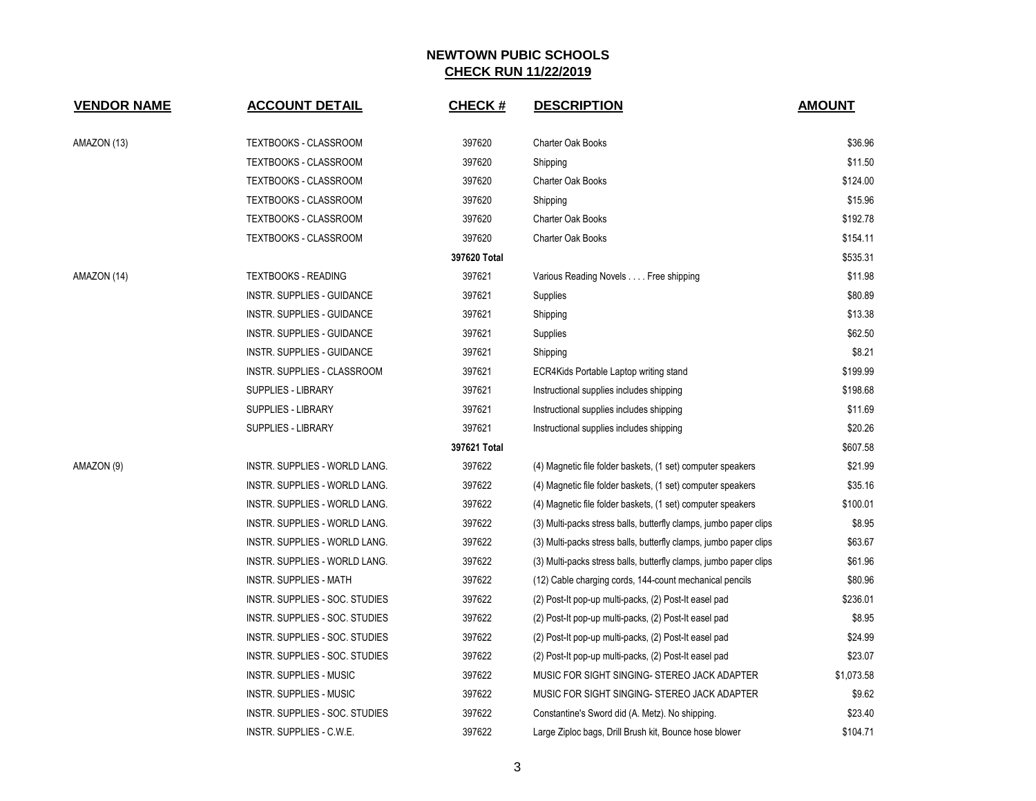| <b>VENDOR NAME</b> | <b>ACCOUNT DETAIL</b>                | <b>CHECK#</b> | <b>DESCRIPTION</b>                                                | <b>AMOUNT</b> |
|--------------------|--------------------------------------|---------------|-------------------------------------------------------------------|---------------|
| AMAZON (13)        | TEXTBOOKS - CLASSROOM                | 397620        | <b>Charter Oak Books</b>                                          | \$36.96       |
|                    | <b>TEXTBOOKS - CLASSROOM</b>         | 397620        | Shipping                                                          | \$11.50       |
|                    | <b>TEXTBOOKS - CLASSROOM</b>         | 397620        | Charter Oak Books                                                 | \$124.00      |
|                    | TEXTBOOKS - CLASSROOM                | 397620        | Shipping                                                          | \$15.96       |
|                    | <b>TEXTBOOKS - CLASSROOM</b>         | 397620        | <b>Charter Oak Books</b>                                          | \$192.78      |
|                    | TEXTBOOKS - CLASSROOM                | 397620        | Charter Oak Books                                                 | \$154.11      |
|                    |                                      | 397620 Total  |                                                                   | \$535.31      |
| AMAZON (14)        | <b>TEXTBOOKS - READING</b>           | 397621        | Various Reading Novels Free shipping                              | \$11.98       |
|                    | INSTR. SUPPLIES - GUIDANCE           | 397621        | Supplies                                                          | \$80.89       |
|                    | INSTR. SUPPLIES - GUIDANCE           | 397621        | Shipping                                                          | \$13.38       |
|                    | INSTR. SUPPLIES - GUIDANCE           | 397621        | Supplies                                                          | \$62.50       |
|                    | INSTR. SUPPLIES - GUIDANCE           | 397621        | Shipping                                                          | \$8.21        |
|                    | INSTR. SUPPLIES - CLASSROOM          | 397621        | ECR4Kids Portable Laptop writing stand                            | \$199.99      |
|                    | <b>SUPPLIES - LIBRARY</b>            | 397621        | Instructional supplies includes shipping                          | \$198.68      |
|                    | <b>SUPPLIES - LIBRARY</b>            | 397621        | Instructional supplies includes shipping                          | \$11.69       |
|                    | <b>SUPPLIES - LIBRARY</b>            | 397621        | Instructional supplies includes shipping                          | \$20.26       |
|                    |                                      | 397621 Total  |                                                                   | \$607.58      |
| AMAZON (9)         | INSTR. SUPPLIES - WORLD LANG.        | 397622        | (4) Magnetic file folder baskets, (1 set) computer speakers       | \$21.99       |
|                    | INSTR. SUPPLIES - WORLD LANG.        | 397622        | (4) Magnetic file folder baskets, (1 set) computer speakers       | \$35.16       |
|                    | INSTR. SUPPLIES - WORLD LANG.        | 397622        | (4) Magnetic file folder baskets, (1 set) computer speakers       | \$100.01      |
|                    | <b>INSTR. SUPPLIES - WORLD LANG.</b> | 397622        | (3) Multi-packs stress balls, butterfly clamps, jumbo paper clips | \$8.95        |
|                    | INSTR. SUPPLIES - WORLD LANG.        | 397622        | (3) Multi-packs stress balls, butterfly clamps, jumbo paper clips | \$63.67       |
|                    | INSTR. SUPPLIES - WORLD LANG.        | 397622        | (3) Multi-packs stress balls, butterfly clamps, jumbo paper clips | \$61.96       |
|                    | <b>INSTR. SUPPLIES - MATH</b>        | 397622        | (12) Cable charging cords, 144-count mechanical pencils           | \$80.96       |
|                    | INSTR. SUPPLIES - SOC. STUDIES       | 397622        | (2) Post-It pop-up multi-packs, (2) Post-It easel pad             | \$236.01      |
|                    | INSTR. SUPPLIES - SOC. STUDIES       | 397622        | (2) Post-It pop-up multi-packs, (2) Post-It easel pad             | \$8.95        |
|                    | INSTR. SUPPLIES - SOC. STUDIES       | 397622        | (2) Post-It pop-up multi-packs, (2) Post-It easel pad             | \$24.99       |
|                    | INSTR. SUPPLIES - SOC. STUDIES       | 397622        | (2) Post-It pop-up multi-packs, (2) Post-It easel pad             | \$23.07       |
|                    | <b>INSTR. SUPPLIES - MUSIC</b>       | 397622        | MUSIC FOR SIGHT SINGING- STEREO JACK ADAPTER                      | \$1,073.58    |
|                    | <b>INSTR. SUPPLIES - MUSIC</b>       | 397622        | MUSIC FOR SIGHT SINGING- STEREO JACK ADAPTER                      | \$9.62        |
|                    | INSTR. SUPPLIES - SOC. STUDIES       | 397622        | Constantine's Sword did (A. Metz). No shipping.                   | \$23.40       |
|                    | INSTR. SUPPLIES - C.W.E.             | 397622        | Large Ziploc bags, Drill Brush kit, Bounce hose blower            | \$104.71      |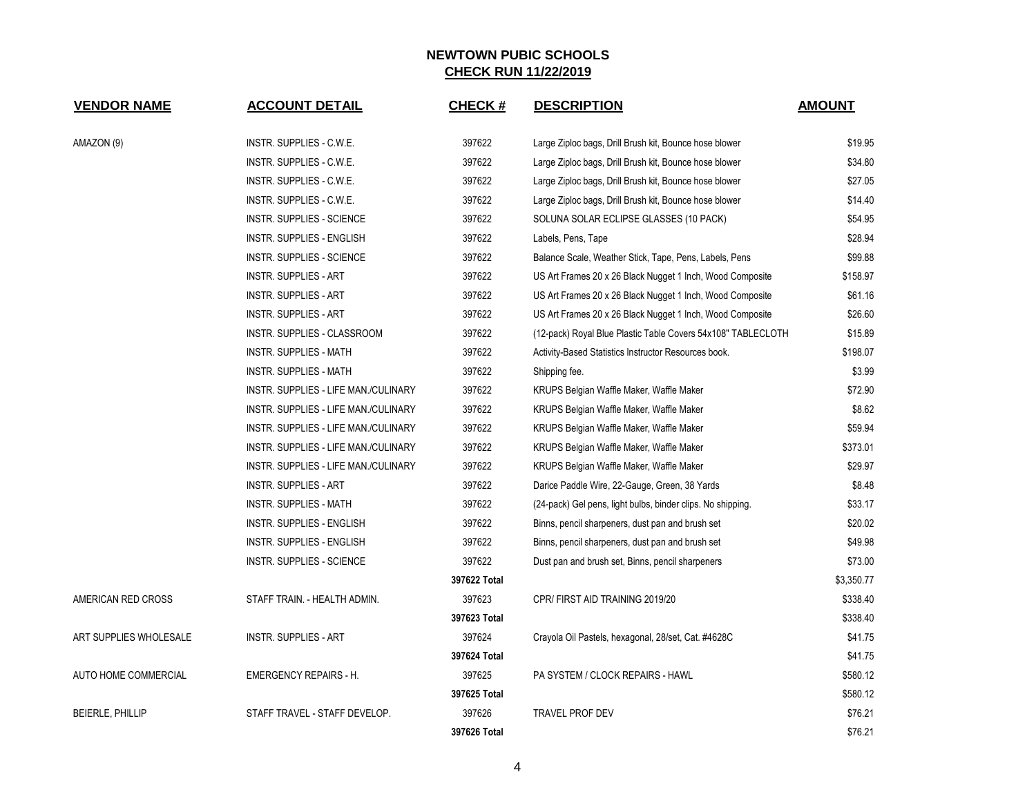| <b>VENDOR NAME</b>      | <b>ACCOUNT DETAIL</b>                | <b>CHECK#</b> | <b>DESCRIPTION</b>                                           | <b>AMOUNT</b> |
|-------------------------|--------------------------------------|---------------|--------------------------------------------------------------|---------------|
| AMAZON (9)              | INSTR. SUPPLIES - C.W.E.             | 397622        | Large Ziploc bags, Drill Brush kit, Bounce hose blower       | \$19.95       |
|                         | INSTR. SUPPLIES - C.W.E.             | 397622        | Large Ziploc bags, Drill Brush kit, Bounce hose blower       | \$34.80       |
|                         | INSTR. SUPPLIES - C.W.E.             | 397622        | Large Ziploc bags, Drill Brush kit, Bounce hose blower       | \$27.05       |
|                         | INSTR. SUPPLIES - C.W.E.             | 397622        | Large Ziploc bags, Drill Brush kit, Bounce hose blower       | \$14.40       |
|                         | <b>INSTR. SUPPLIES - SCIENCE</b>     | 397622        | SOLUNA SOLAR ECLIPSE GLASSES (10 PACK)                       | \$54.95       |
|                         | INSTR. SUPPLIES - ENGLISH            | 397622        | Labels, Pens, Tape                                           | \$28.94       |
|                         | INSTR. SUPPLIES - SCIENCE            | 397622        | Balance Scale, Weather Stick, Tape, Pens, Labels, Pens       | \$99.88       |
|                         | <b>INSTR. SUPPLIES - ART</b>         | 397622        | US Art Frames 20 x 26 Black Nugget 1 Inch, Wood Composite    | \$158.97      |
|                         | <b>INSTR. SUPPLIES - ART</b>         | 397622        | US Art Frames 20 x 26 Black Nugget 1 Inch, Wood Composite    | \$61.16       |
|                         | <b>INSTR. SUPPLIES - ART</b>         | 397622        | US Art Frames 20 x 26 Black Nugget 1 Inch, Wood Composite    | \$26.60       |
|                         | INSTR. SUPPLIES - CLASSROOM          | 397622        | (12-pack) Royal Blue Plastic Table Covers 54x108" TABLECLOTH | \$15.89       |
|                         | <b>INSTR. SUPPLIES - MATH</b>        | 397622        | Activity-Based Statistics Instructor Resources book.         | \$198.07      |
|                         | <b>INSTR. SUPPLIES - MATH</b>        | 397622        | Shipping fee.                                                | \$3.99        |
|                         | INSTR. SUPPLIES - LIFE MAN./CULINARY | 397622        | KRUPS Belgian Waffle Maker, Waffle Maker                     | \$72.90       |
|                         | INSTR. SUPPLIES - LIFE MAN./CULINARY | 397622        | KRUPS Belgian Waffle Maker, Waffle Maker                     | \$8.62        |
|                         | INSTR. SUPPLIES - LIFE MAN./CULINARY | 397622        | KRUPS Belgian Waffle Maker, Waffle Maker                     | \$59.94       |
|                         | INSTR. SUPPLIES - LIFE MAN./CULINARY | 397622        | KRUPS Belgian Waffle Maker, Waffle Maker                     | \$373.01      |
|                         | INSTR. SUPPLIES - LIFE MAN./CULINARY | 397622        | KRUPS Belgian Waffle Maker, Waffle Maker                     | \$29.97       |
|                         | <b>INSTR. SUPPLIES - ART</b>         | 397622        | Darice Paddle Wire, 22-Gauge, Green, 38 Yards                | \$8.48        |
|                         | INSTR. SUPPLIES - MATH               | 397622        | (24-pack) Gel pens, light bulbs, binder clips. No shipping.  | \$33.17       |
|                         | INSTR. SUPPLIES - ENGLISH            | 397622        | Binns, pencil sharpeners, dust pan and brush set             | \$20.02       |
|                         | INSTR. SUPPLIES - ENGLISH            | 397622        | Binns, pencil sharpeners, dust pan and brush set             | \$49.98       |
|                         | <b>INSTR. SUPPLIES - SCIENCE</b>     | 397622        | Dust pan and brush set, Binns, pencil sharpeners             | \$73.00       |
|                         |                                      | 397622 Total  |                                                              | \$3,350.77    |
| AMERICAN RED CROSS      | STAFF TRAIN. - HEALTH ADMIN.         | 397623        | CPR/FIRST AID TRAINING 2019/20                               | \$338.40      |
|                         |                                      | 397623 Total  |                                                              | \$338.40      |
| ART SUPPLIES WHOLESALE  | <b>INSTR. SUPPLIES - ART</b>         | 397624        | Crayola Oil Pastels, hexagonal, 28/set, Cat. #4628C          | \$41.75       |
|                         |                                      | 397624 Total  |                                                              | \$41.75       |
| AUTO HOME COMMERCIAL    | <b>EMERGENCY REPAIRS - H.</b>        | 397625        | PA SYSTEM / CLOCK REPAIRS - HAWL                             | \$580.12      |
|                         |                                      | 397625 Total  |                                                              | \$580.12      |
| <b>BEIERLE, PHILLIP</b> | STAFF TRAVEL - STAFF DEVELOP.        | 397626        | <b>TRAVEL PROF DEV</b>                                       | \$76.21       |
|                         |                                      | 397626 Total  |                                                              | \$76.21       |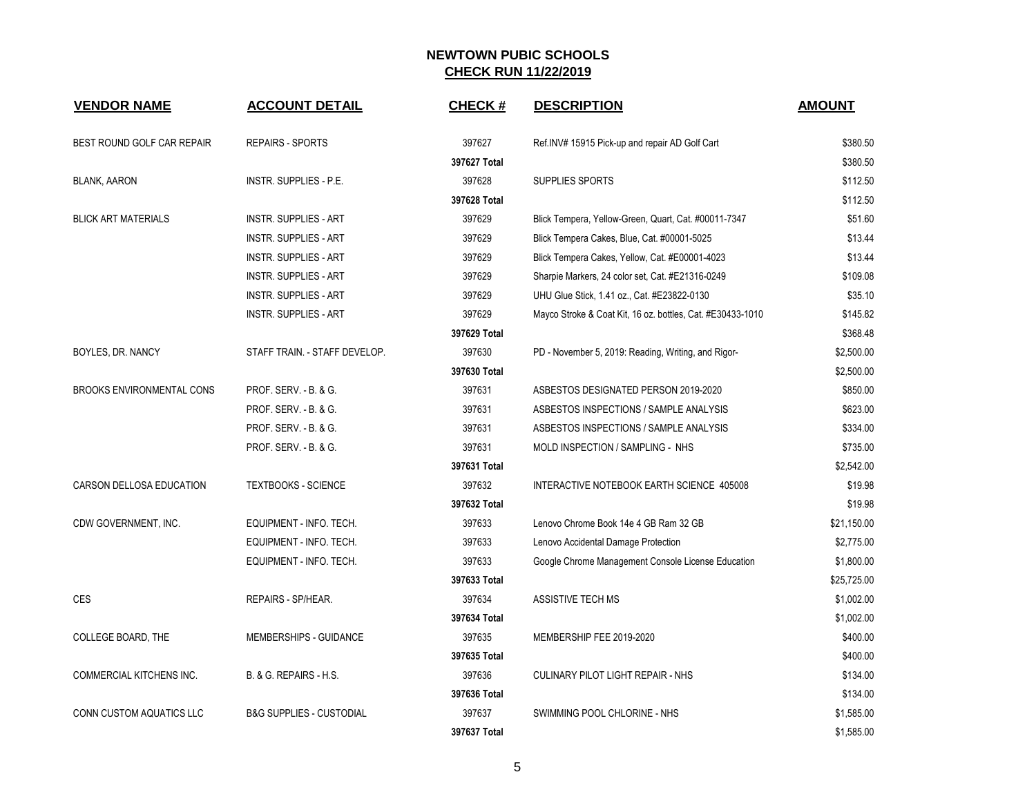| <b>VENDOR NAME</b>               | <b>ACCOUNT DETAIL</b>               | <b>CHECK#</b> | <b>DESCRIPTION</b>                                         | <b>AMOUNT</b> |
|----------------------------------|-------------------------------------|---------------|------------------------------------------------------------|---------------|
| BEST ROUND GOLF CAR REPAIR       | <b>REPAIRS - SPORTS</b>             | 397627        | Ref.INV# 15915 Pick-up and repair AD Golf Cart             | \$380.50      |
|                                  |                                     | 397627 Total  |                                                            | \$380.50      |
| <b>BLANK, AARON</b>              | <b>INSTR. SUPPLIES - P.E.</b>       | 397628        | SUPPLIES SPORTS                                            | \$112.50      |
|                                  |                                     | 397628 Total  |                                                            | \$112.50      |
| <b>BLICK ART MATERIALS</b>       | <b>INSTR. SUPPLIES - ART</b>        | 397629        | Blick Tempera, Yellow-Green, Quart, Cat. #00011-7347       | \$51.60       |
|                                  | <b>INSTR. SUPPLIES - ART</b>        | 397629        | Blick Tempera Cakes, Blue, Cat. #00001-5025                | \$13.44       |
|                                  | <b>INSTR. SUPPLIES - ART</b>        | 397629        | Blick Tempera Cakes, Yellow, Cat. #E00001-4023             | \$13.44       |
|                                  | <b>INSTR. SUPPLIES - ART</b>        | 397629        | Sharpie Markers, 24 color set, Cat. #E21316-0249           | \$109.08      |
|                                  | <b>INSTR. SUPPLIES - ART</b>        | 397629        | UHU Glue Stick, 1.41 oz., Cat. #E23822-0130                | \$35.10       |
|                                  | <b>INSTR. SUPPLIES - ART</b>        | 397629        | Mayco Stroke & Coat Kit, 16 oz. bottles, Cat. #E30433-1010 | \$145.82      |
|                                  |                                     | 397629 Total  |                                                            | \$368.48      |
| BOYLES, DR. NANCY                | STAFF TRAIN. - STAFF DEVELOP.       | 397630        | PD - November 5, 2019: Reading, Writing, and Rigor-        | \$2,500.00    |
|                                  |                                     | 397630 Total  |                                                            | \$2,500.00    |
| <b>BROOKS ENVIRONMENTAL CONS</b> | PROF. SERV. - B. & G.               | 397631        | ASBESTOS DESIGNATED PERSON 2019-2020                       | \$850.00      |
|                                  | PROF. SERV. - B. & G.               | 397631        | ASBESTOS INSPECTIONS / SAMPLE ANALYSIS                     | \$623.00      |
|                                  | PROF. SERV. - B. & G.               | 397631        | ASBESTOS INSPECTIONS / SAMPLE ANALYSIS                     | \$334.00      |
|                                  | PROF. SERV. - B. & G.               | 397631        | MOLD INSPECTION / SAMPLING - NHS                           | \$735.00      |
|                                  |                                     | 397631 Total  |                                                            | \$2,542.00    |
| CARSON DELLOSA EDUCATION         | <b>TEXTBOOKS - SCIENCE</b>          | 397632        | INTERACTIVE NOTEBOOK EARTH SCIENCE 405008                  | \$19.98       |
|                                  |                                     | 397632 Total  |                                                            | \$19.98       |
| CDW GOVERNMENT, INC.             | EQUIPMENT - INFO. TECH.             | 397633        | Lenovo Chrome Book 14e 4 GB Ram 32 GB                      | \$21,150.00   |
|                                  | EQUIPMENT - INFO. TECH.             | 397633        | Lenovo Accidental Damage Protection                        | \$2,775.00    |
|                                  | EQUIPMENT - INFO. TECH.             | 397633        | Google Chrome Management Console License Education         | \$1,800.00    |
|                                  |                                     | 397633 Total  |                                                            | \$25,725.00   |
| <b>CES</b>                       | REPAIRS - SP/HEAR.                  | 397634        | <b>ASSISTIVE TECH MS</b>                                   | \$1,002.00    |
|                                  |                                     | 397634 Total  |                                                            | \$1,002.00    |
| COLLEGE BOARD, THE               | MEMBERSHIPS - GUIDANCE              | 397635        | MEMBERSHIP FEE 2019-2020                                   | \$400.00      |
|                                  |                                     | 397635 Total  |                                                            | \$400.00      |
| <b>COMMERCIAL KITCHENS INC.</b>  | B. & G. REPAIRS - H.S.              | 397636        | <b>CULINARY PILOT LIGHT REPAIR - NHS</b>                   | \$134.00      |
|                                  |                                     | 397636 Total  |                                                            | \$134.00      |
| CONN CUSTOM AQUATICS LLC         | <b>B&amp;G SUPPLIES - CUSTODIAL</b> | 397637        | SWIMMING POOL CHLORINE - NHS                               | \$1,585.00    |
|                                  |                                     | 397637 Total  |                                                            | \$1,585.00    |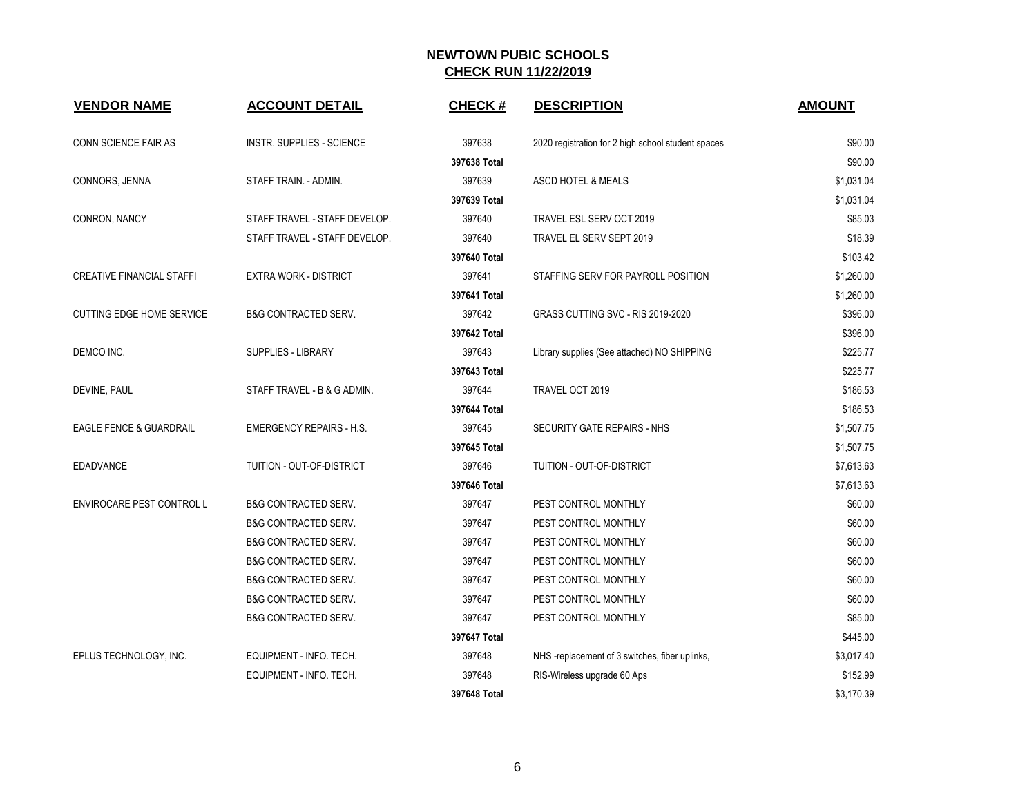| <b>VENDOR NAME</b>                 | <b>ACCOUNT DETAIL</b>            | <b>CHECK#</b> | <b>DESCRIPTION</b>                                 | <b>AMOUNT</b> |
|------------------------------------|----------------------------------|---------------|----------------------------------------------------|---------------|
| CONN SCIENCE FAIR AS               | <b>INSTR. SUPPLIES - SCIENCE</b> | 397638        | 2020 registration for 2 high school student spaces | \$90.00       |
|                                    |                                  | 397638 Total  |                                                    | \$90.00       |
| CONNORS, JENNA                     | STAFF TRAIN. - ADMIN.            | 397639        | ASCD HOTEL & MEALS                                 | \$1,031.04    |
|                                    |                                  | 397639 Total  |                                                    | \$1,031.04    |
| CONRON, NANCY                      | STAFF TRAVEL - STAFF DEVELOP.    | 397640        | TRAVEL ESL SERV OCT 2019                           | \$85.03       |
|                                    | STAFF TRAVEL - STAFF DEVELOP.    | 397640        | TRAVEL EL SERV SEPT 2019                           | \$18.39       |
|                                    |                                  | 397640 Total  |                                                    | \$103.42      |
| <b>CREATIVE FINANCIAL STAFFI</b>   | <b>EXTRA WORK - DISTRICT</b>     | 397641        | STAFFING SERV FOR PAYROLL POSITION                 | \$1,260.00    |
|                                    |                                  | 397641 Total  |                                                    | \$1,260.00    |
| <b>CUTTING EDGE HOME SERVICE</b>   | <b>B&amp;G CONTRACTED SERV.</b>  | 397642        | GRASS CUTTING SVC - RIS 2019-2020                  | \$396.00      |
|                                    |                                  | 397642 Total  |                                                    | \$396.00      |
| DEMCO INC.                         | <b>SUPPLIES - LIBRARY</b>        | 397643        | Library supplies (See attached) NO SHIPPING        | \$225.77      |
|                                    |                                  | 397643 Total  |                                                    | \$225.77      |
| DEVINE, PAUL                       | STAFF TRAVEL - B & G ADMIN.      | 397644        | TRAVEL OCT 2019                                    | \$186.53      |
|                                    |                                  | 397644 Total  |                                                    | \$186.53      |
| <b>EAGLE FENCE &amp; GUARDRAIL</b> | <b>EMERGENCY REPAIRS - H.S.</b>  | 397645        | SECURITY GATE REPAIRS - NHS                        | \$1,507.75    |
|                                    |                                  | 397645 Total  |                                                    | \$1,507.75    |
| <b>EDADVANCE</b>                   | TUITION - OUT-OF-DISTRICT        | 397646        | TUITION - OUT-OF-DISTRICT                          | \$7,613.63    |
|                                    |                                  | 397646 Total  |                                                    | \$7,613.63    |
| ENVIROCARE PEST CONTROL L          | <b>B&amp;G CONTRACTED SERV.</b>  | 397647        | PEST CONTROL MONTHLY                               | \$60.00       |
|                                    | <b>B&amp;G CONTRACTED SERV.</b>  | 397647        | PEST CONTROL MONTHLY                               | \$60.00       |
|                                    | <b>B&amp;G CONTRACTED SERV.</b>  | 397647        | PEST CONTROL MONTHLY                               | \$60.00       |
|                                    | <b>B&amp;G CONTRACTED SERV.</b>  | 397647        | PEST CONTROL MONTHLY                               | \$60.00       |
|                                    | <b>B&amp;G CONTRACTED SERV.</b>  | 397647        | PEST CONTROL MONTHLY                               | \$60.00       |
|                                    | <b>B&amp;G CONTRACTED SERV.</b>  | 397647        | PEST CONTROL MONTHLY                               | \$60.00       |
|                                    | <b>B&amp;G CONTRACTED SERV.</b>  | 397647        | PEST CONTROL MONTHLY                               | \$85.00       |
|                                    |                                  | 397647 Total  |                                                    | \$445.00      |
| EPLUS TECHNOLOGY, INC.             | EQUIPMENT - INFO. TECH.          | 397648        | NHS -replacement of 3 switches, fiber uplinks,     | \$3,017.40    |
|                                    | EQUIPMENT - INFO. TECH.          | 397648        | RIS-Wireless upgrade 60 Aps                        | \$152.99      |
|                                    |                                  | 397648 Total  |                                                    | \$3,170.39    |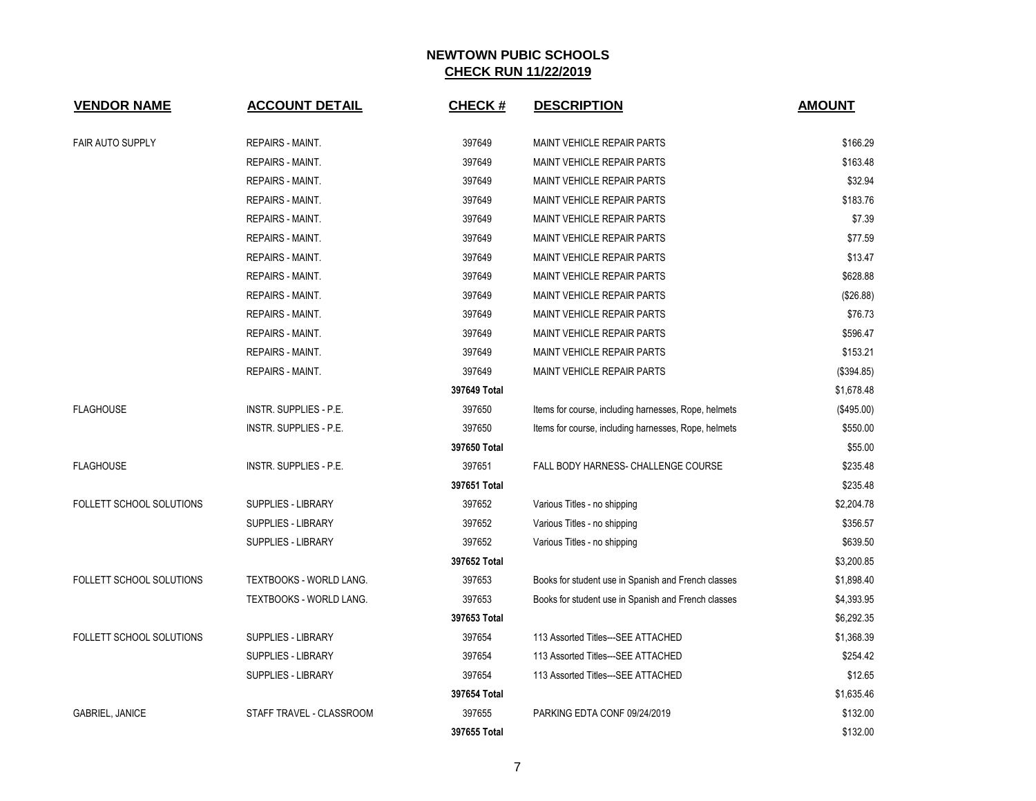| <b>VENDOR NAME</b>              | <b>ACCOUNT DETAIL</b>          | <b>CHECK#</b> | <b>DESCRIPTION</b>                                   | <b>AMOUNT</b> |
|---------------------------------|--------------------------------|---------------|------------------------------------------------------|---------------|
| FAIR AUTO SUPPLY                | <b>REPAIRS - MAINT.</b>        | 397649        | <b>MAINT VEHICLE REPAIR PARTS</b>                    | \$166.29      |
|                                 | <b>REPAIRS - MAINT.</b>        | 397649        | <b>MAINT VEHICLE REPAIR PARTS</b>                    | \$163.48      |
|                                 | REPAIRS - MAINT.               | 397649        | <b>MAINT VEHICLE REPAIR PARTS</b>                    | \$32.94       |
|                                 | REPAIRS - MAINT.               | 397649        | <b>MAINT VEHICLE REPAIR PARTS</b>                    | \$183.76      |
|                                 | <b>REPAIRS - MAINT.</b>        | 397649        | <b>MAINT VEHICLE REPAIR PARTS</b>                    | \$7.39        |
|                                 | REPAIRS - MAINT.               | 397649        | <b>MAINT VEHICLE REPAIR PARTS</b>                    | \$77.59       |
|                                 | REPAIRS - MAINT.               | 397649        | <b>MAINT VEHICLE REPAIR PARTS</b>                    | \$13.47       |
|                                 | <b>REPAIRS - MAINT.</b>        | 397649        | <b>MAINT VEHICLE REPAIR PARTS</b>                    | \$628.88      |
|                                 | <b>REPAIRS - MAINT.</b>        | 397649        | MAINT VEHICLE REPAIR PARTS                           | (\$26.88)     |
|                                 | <b>REPAIRS - MAINT.</b>        | 397649        | <b>MAINT VEHICLE REPAIR PARTS</b>                    | \$76.73       |
|                                 | REPAIRS - MAINT.               | 397649        | <b>MAINT VEHICLE REPAIR PARTS</b>                    | \$596.47      |
|                                 | REPAIRS - MAINT.               | 397649        | <b>MAINT VEHICLE REPAIR PARTS</b>                    | \$153.21      |
|                                 | REPAIRS - MAINT.               | 397649        | MAINT VEHICLE REPAIR PARTS                           | (\$394.85)    |
|                                 |                                | 397649 Total  |                                                      | \$1,678.48    |
| <b>FLAGHOUSE</b>                | <b>INSTR. SUPPLIES - P.E.</b>  | 397650        | Items for course, including harnesses, Rope, helmets | (\$495.00)    |
|                                 | INSTR. SUPPLIES - P.E.         | 397650        | Items for course, including harnesses, Rope, helmets | \$550.00      |
|                                 |                                | 397650 Total  |                                                      | \$55.00       |
| <b>FLAGHOUSE</b>                | INSTR. SUPPLIES - P.E.         | 397651        | FALL BODY HARNESS- CHALLENGE COURSE                  | \$235.48      |
|                                 |                                | 397651 Total  |                                                      | \$235.48      |
| <b>FOLLETT SCHOOL SOLUTIONS</b> | <b>SUPPLIES - LIBRARY</b>      | 397652        | Various Titles - no shipping                         | \$2,204.78    |
|                                 | <b>SUPPLIES - LIBRARY</b>      | 397652        | Various Titles - no shipping                         | \$356.57      |
|                                 | SUPPLIES - LIBRARY             | 397652        | Various Titles - no shipping                         | \$639.50      |
|                                 |                                | 397652 Total  |                                                      | \$3,200.85    |
| <b>FOLLETT SCHOOL SOLUTIONS</b> | <b>TEXTBOOKS - WORLD LANG.</b> | 397653        | Books for student use in Spanish and French classes  | \$1,898.40    |
|                                 | TEXTBOOKS - WORLD LANG.        | 397653        | Books for student use in Spanish and French classes  | \$4,393.95    |
|                                 |                                | 397653 Total  |                                                      | \$6,292.35    |
| FOLLETT SCHOOL SOLUTIONS        | <b>SUPPLIES - LIBRARY</b>      | 397654        | 113 Assorted Titles---SEE ATTACHED                   | \$1,368.39    |
|                                 | <b>SUPPLIES - LIBRARY</b>      | 397654        | 113 Assorted Titles---SEE ATTACHED                   | \$254.42      |
|                                 | SUPPLIES - LIBRARY             | 397654        | 113 Assorted Titles---SEE ATTACHED                   | \$12.65       |
|                                 |                                | 397654 Total  |                                                      | \$1,635.46    |
| <b>GABRIEL, JANICE</b>          | STAFF TRAVEL - CLASSROOM       | 397655        | PARKING EDTA CONF 09/24/2019                         | \$132.00      |
|                                 |                                | 397655 Total  |                                                      | \$132.00      |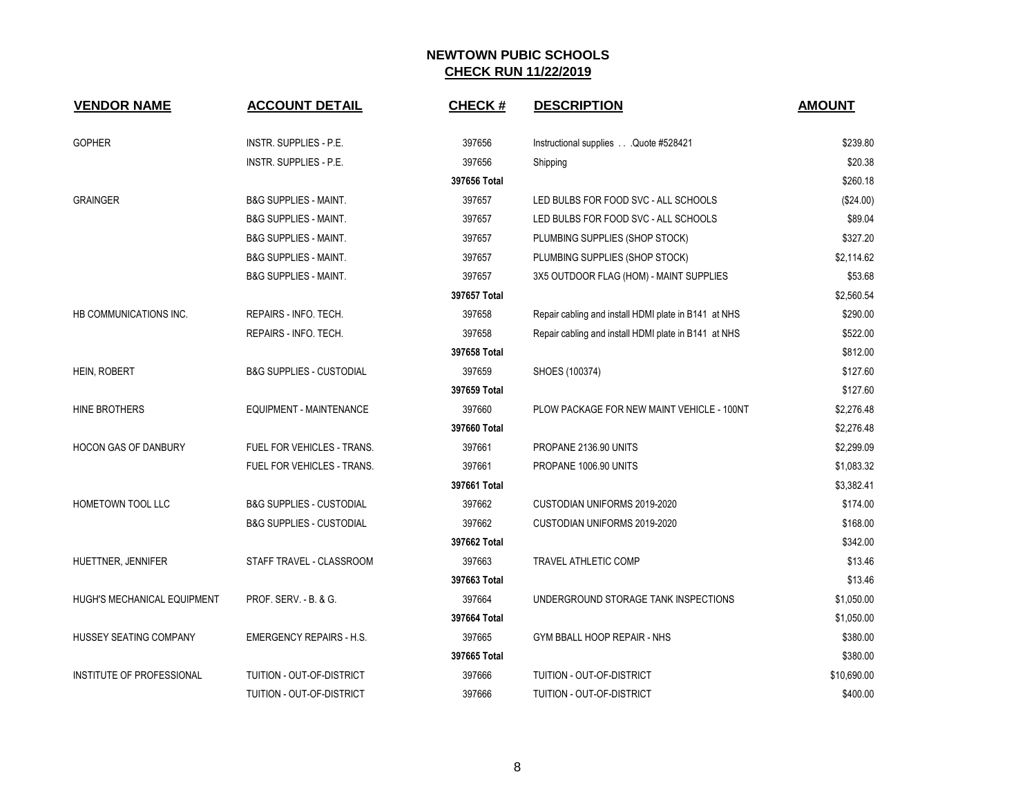| <b>VENDOR NAME</b>          | <b>ACCOUNT DETAIL</b>               | <b>CHECK#</b>          | <b>DESCRIPTION</b>                                   | <b>AMOUNT</b>        |
|-----------------------------|-------------------------------------|------------------------|------------------------------------------------------|----------------------|
| <b>GOPHER</b>               | INSTR. SUPPLIES - P.E.              | 397656                 | Instructional supplies Quote #528421                 | \$239.80             |
|                             | INSTR. SUPPLIES - P.E.              | 397656                 | Shipping                                             | \$20.38              |
|                             |                                     | 397656 Total           |                                                      | \$260.18             |
| <b>GRAINGER</b>             | <b>B&amp;G SUPPLIES - MAINT.</b>    | 397657                 | LED BULBS FOR FOOD SVC - ALL SCHOOLS                 | (\$24.00)            |
|                             | <b>B&amp;G SUPPLIES - MAINT.</b>    | 397657                 | LED BULBS FOR FOOD SVC - ALL SCHOOLS                 | \$89.04              |
|                             | <b>B&amp;G SUPPLIES - MAINT.</b>    | 397657                 | PLUMBING SUPPLIES (SHOP STOCK)                       | \$327.20             |
|                             | <b>B&amp;G SUPPLIES - MAINT.</b>    | 397657                 | PLUMBING SUPPLIES (SHOP STOCK)                       | \$2,114.62           |
|                             | <b>B&amp;G SUPPLIES - MAINT.</b>    | 397657                 | 3X5 OUTDOOR FLAG (HOM) - MAINT SUPPLIES              | \$53.68              |
|                             |                                     | 397657 Total           |                                                      | \$2,560.54           |
| HB COMMUNICATIONS INC.      | REPAIRS - INFO. TECH.               | 397658                 | Repair cabling and install HDMI plate in B141 at NHS | \$290.00             |
|                             | REPAIRS - INFO. TECH.               | 397658                 | Repair cabling and install HDMI plate in B141 at NHS | \$522.00             |
|                             |                                     | 397658 Total           |                                                      | \$812.00             |
|                             |                                     |                        |                                                      |                      |
| <b>HEIN, ROBERT</b>         | <b>B&amp;G SUPPLIES - CUSTODIAL</b> | 397659<br>397659 Total | SHOES (100374)                                       | \$127.60<br>\$127.60 |
| HINE BROTHERS               | EQUIPMENT - MAINTENANCE             | 397660                 | PLOW PACKAGE FOR NEW MAINT VEHICLE - 100NT           |                      |
|                             |                                     |                        |                                                      | \$2,276.48           |
|                             |                                     | 397660 Total           |                                                      | \$2,276.48           |
| <b>HOCON GAS OF DANBURY</b> | FUEL FOR VEHICLES - TRANS.          | 397661                 | PROPANE 2136.90 UNITS                                | \$2,299.09           |
|                             | FUEL FOR VEHICLES - TRANS.          | 397661                 | PROPANE 1006.90 UNITS                                | \$1,083.32           |
|                             |                                     | 397661 Total           |                                                      | \$3,382.41           |
| HOMETOWN TOOL LLC           | <b>B&amp;G SUPPLIES - CUSTODIAL</b> | 397662                 | CUSTODIAN UNIFORMS 2019-2020                         | \$174.00             |
|                             | <b>B&amp;G SUPPLIES - CUSTODIAL</b> | 397662                 | CUSTODIAN UNIFORMS 2019-2020                         | \$168.00             |
|                             |                                     | 397662 Total           |                                                      | \$342.00             |
| HUETTNER, JENNIFER          | STAFF TRAVEL - CLASSROOM            | 397663                 | <b>TRAVEL ATHLETIC COMP</b>                          | \$13.46              |
|                             |                                     | 397663 Total           |                                                      | \$13.46              |
| HUGH'S MECHANICAL EQUIPMENT | PROF. SERV. - B. & G.               | 397664                 | UNDERGROUND STORAGE TANK INSPECTIONS                 | \$1,050.00           |
|                             |                                     | 397664 Total           |                                                      | \$1,050.00           |
| HUSSEY SEATING COMPANY      | <b>EMERGENCY REPAIRS - H.S.</b>     | 397665                 | GYM BBALL HOOP REPAIR - NHS                          | \$380.00             |
|                             |                                     | 397665 Total           |                                                      | \$380.00             |
| INSTITUTE OF PROFESSIONAL   | TUITION - OUT-OF-DISTRICT           | 397666                 | TUITION - OUT-OF-DISTRICT                            | \$10,690.00          |
|                             | TUITION - OUT-OF-DISTRICT           | 397666                 | TUITION - OUT-OF-DISTRICT                            | \$400.00             |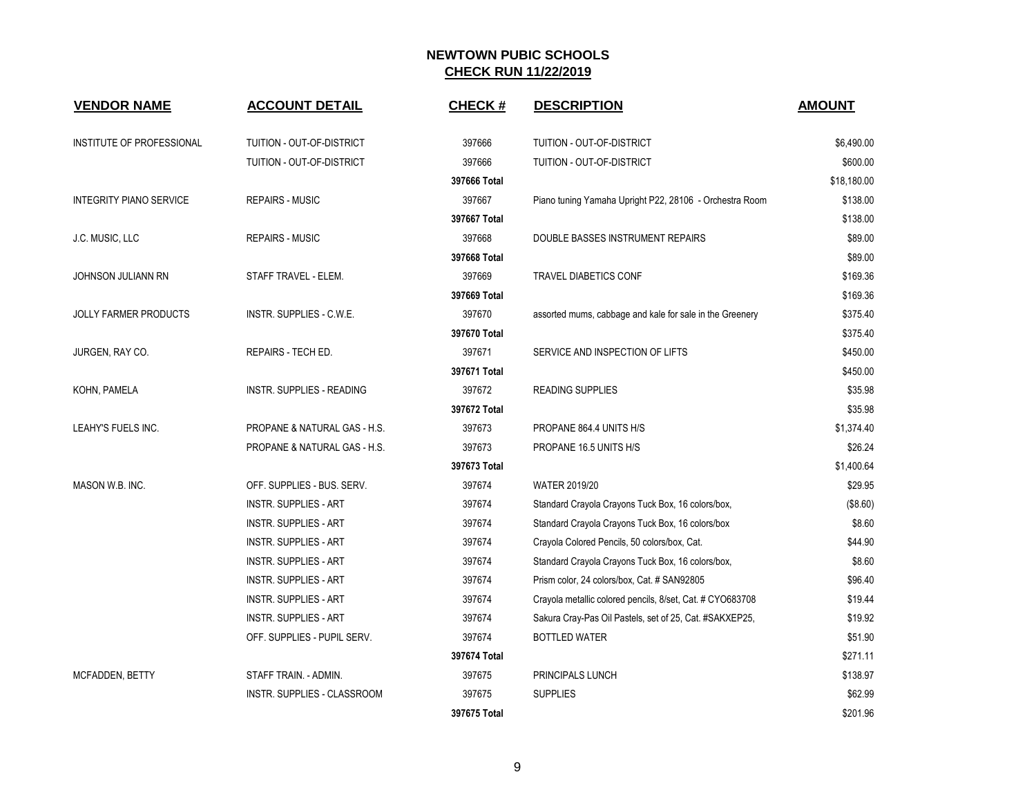| <b>VENDOR NAME</b>             | <b>ACCOUNT DETAIL</b>            | <b>CHECK#</b> | <b>DESCRIPTION</b>                                        | <b>AMOUNT</b> |
|--------------------------------|----------------------------------|---------------|-----------------------------------------------------------|---------------|
| INSTITUTE OF PROFESSIONAL      | TUITION - OUT-OF-DISTRICT        | 397666        | TUITION - OUT-OF-DISTRICT                                 | \$6,490.00    |
|                                | TUITION - OUT-OF-DISTRICT        | 397666        | TUITION - OUT-OF-DISTRICT                                 | \$600.00      |
|                                |                                  | 397666 Total  |                                                           | \$18,180.00   |
| <b>INTEGRITY PIANO SERVICE</b> | <b>REPAIRS - MUSIC</b>           | 397667        | Piano tuning Yamaha Upright P22, 28106 - Orchestra Room   | \$138.00      |
|                                |                                  | 397667 Total  |                                                           | \$138.00      |
| J.C. MUSIC, LLC                | <b>REPAIRS - MUSIC</b>           | 397668        | DOUBLE BASSES INSTRUMENT REPAIRS                          | \$89.00       |
|                                |                                  | 397668 Total  |                                                           | \$89.00       |
| JOHNSON JULIANN RN             | STAFF TRAVEL - ELEM.             | 397669        | <b>TRAVEL DIABETICS CONF</b>                              | \$169.36      |
|                                |                                  | 397669 Total  |                                                           | \$169.36      |
| <b>JOLLY FARMER PRODUCTS</b>   | INSTR. SUPPLIES - C.W.E.         | 397670        | assorted mums, cabbage and kale for sale in the Greenery  | \$375.40      |
|                                |                                  | 397670 Total  |                                                           | \$375.40      |
| JURGEN, RAY CO.                | REPAIRS - TECH ED.               | 397671        | SERVICE AND INSPECTION OF LIFTS                           | \$450.00      |
|                                |                                  | 397671 Total  |                                                           | \$450.00      |
| KOHN, PAMELA                   | <b>INSTR. SUPPLIES - READING</b> | 397672        | <b>READING SUPPLIES</b>                                   | \$35.98       |
|                                |                                  | 397672 Total  |                                                           | \$35.98       |
| LEAHY'S FUELS INC.             | PROPANE & NATURAL GAS - H.S.     | 397673        | PROPANE 864.4 UNITS H/S                                   | \$1,374.40    |
|                                | PROPANE & NATURAL GAS - H.S.     | 397673        | PROPANE 16.5 UNITS H/S                                    | \$26.24       |
|                                |                                  | 397673 Total  |                                                           | \$1,400.64    |
| MASON W.B. INC.                | OFF. SUPPLIES - BUS. SERV.       | 397674        | <b>WATER 2019/20</b>                                      | \$29.95       |
|                                | <b>INSTR. SUPPLIES - ART</b>     | 397674        | Standard Crayola Crayons Tuck Box, 16 colors/box,         | (\$8.60)      |
|                                | <b>INSTR. SUPPLIES - ART</b>     | 397674        | Standard Crayola Crayons Tuck Box, 16 colors/box          | \$8.60        |
|                                | <b>INSTR. SUPPLIES - ART</b>     | 397674        | Crayola Colored Pencils, 50 colors/box, Cat.              | \$44.90       |
|                                | <b>INSTR. SUPPLIES - ART</b>     | 397674        | Standard Crayola Crayons Tuck Box, 16 colors/box,         | \$8.60        |
|                                | <b>INSTR. SUPPLIES - ART</b>     | 397674        | Prism color, 24 colors/box, Cat. # SAN92805               | \$96.40       |
|                                | INSTR. SUPPLIES - ART            | 397674        | Crayola metallic colored pencils, 8/set, Cat. # CYO683708 | \$19.44       |
|                                | INSTR. SUPPLIES - ART            | 397674        | Sakura Cray-Pas Oil Pastels, set of 25, Cat. #SAKXEP25,   | \$19.92       |
|                                | OFF. SUPPLIES - PUPIL SERV.      | 397674        | <b>BOTTLED WATER</b>                                      | \$51.90       |
|                                |                                  | 397674 Total  |                                                           | \$271.11      |
| MCFADDEN, BETTY                | STAFF TRAIN. - ADMIN.            | 397675        | PRINCIPALS LUNCH                                          | \$138.97      |
|                                | INSTR. SUPPLIES - CLASSROOM      | 397675        | <b>SUPPLIES</b>                                           | \$62.99       |
|                                |                                  | 397675 Total  |                                                           | \$201.96      |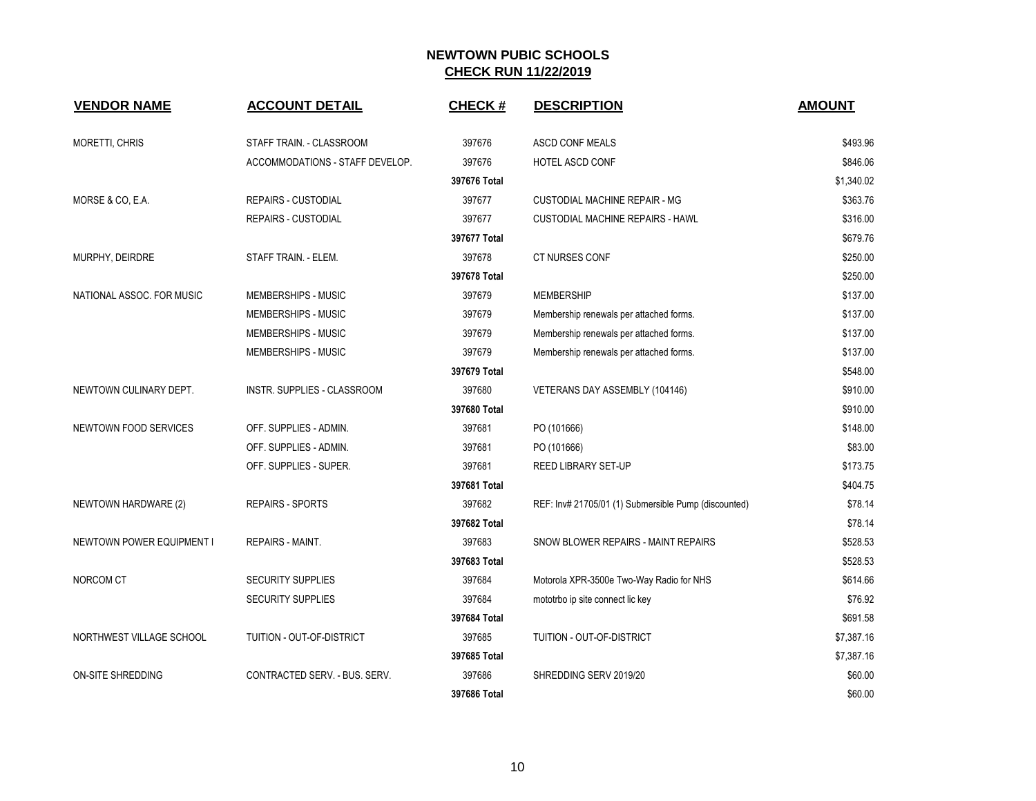| <b>VENDOR NAME</b>               | <b>ACCOUNT DETAIL</b>           | <b>CHECK#</b> | <b>DESCRIPTION</b>                                   | <b>AMOUNT</b> |
|----------------------------------|---------------------------------|---------------|------------------------------------------------------|---------------|
| MORETTI, CHRIS                   | STAFF TRAIN. - CLASSROOM        | 397676        | ASCD CONF MEALS                                      | \$493.96      |
|                                  | ACCOMMODATIONS - STAFF DEVELOP. | 397676        | HOTEL ASCD CONF                                      | \$846.06      |
|                                  |                                 | 397676 Total  |                                                      | \$1,340.02    |
| MORSE & CO, E.A.                 | <b>REPAIRS - CUSTODIAL</b>      | 397677        | <b>CUSTODIAL MACHINE REPAIR - MG</b>                 | \$363.76      |
|                                  | <b>REPAIRS - CUSTODIAL</b>      | 397677        | <b>CUSTODIAL MACHINE REPAIRS - HAWL</b>              | \$316.00      |
|                                  |                                 | 397677 Total  |                                                      | \$679.76      |
| MURPHY, DEIRDRE                  | STAFF TRAIN. - ELEM.            | 397678        | CT NURSES CONF                                       | \$250.00      |
|                                  |                                 | 397678 Total  |                                                      | \$250.00      |
| NATIONAL ASSOC. FOR MUSIC        | MEMBERSHIPS - MUSIC             | 397679        | <b>MEMBERSHIP</b>                                    | \$137.00      |
|                                  | MEMBERSHIPS - MUSIC             | 397679        | Membership renewals per attached forms.              | \$137.00      |
|                                  | <b>MEMBERSHIPS - MUSIC</b>      | 397679        | Membership renewals per attached forms.              | \$137.00      |
|                                  | MEMBERSHIPS - MUSIC             | 397679        | Membership renewals per attached forms.              | \$137.00      |
|                                  |                                 | 397679 Total  |                                                      | \$548.00      |
| NEWTOWN CULINARY DEPT.           | INSTR. SUPPLIES - CLASSROOM     | 397680        | VETERANS DAY ASSEMBLY (104146)                       | \$910.00      |
|                                  |                                 | 397680 Total  |                                                      | \$910.00      |
| <b>NEWTOWN FOOD SERVICES</b>     | OFF. SUPPLIES - ADMIN.          | 397681        | PO (101666)                                          | \$148.00      |
|                                  | OFF. SUPPLIES - ADMIN.          | 397681        | PO (101666)                                          | \$83.00       |
|                                  | OFF. SUPPLIES - SUPER.          | 397681        | REED LIBRARY SET-UP                                  | \$173.75      |
|                                  |                                 | 397681 Total  |                                                      | \$404.75      |
| NEWTOWN HARDWARE (2)             | <b>REPAIRS - SPORTS</b>         | 397682        | REF: Inv# 21705/01 (1) Submersible Pump (discounted) | \$78.14       |
|                                  |                                 | 397682 Total  |                                                      | \$78.14       |
| <b>NEWTOWN POWER EQUIPMENT I</b> | <b>REPAIRS - MAINT.</b>         | 397683        | SNOW BLOWER REPAIRS - MAINT REPAIRS                  | \$528.53      |
|                                  |                                 | 397683 Total  |                                                      | \$528.53      |
| NORCOM CT                        | SECURITY SUPPLIES               | 397684        | Motorola XPR-3500e Two-Way Radio for NHS             | \$614.66      |
|                                  | <b>SECURITY SUPPLIES</b>        | 397684        | mototrbo ip site connect lic key                     | \$76.92       |
|                                  |                                 | 397684 Total  |                                                      | \$691.58      |
| NORTHWEST VILLAGE SCHOOL         | TUITION - OUT-OF-DISTRICT       | 397685        | TUITION - OUT-OF-DISTRICT                            | \$7,387.16    |
|                                  |                                 | 397685 Total  |                                                      | \$7,387.16    |
| <b>ON-SITE SHREDDING</b>         | CONTRACTED SERV. - BUS. SERV.   | 397686        | SHREDDING SERV 2019/20                               | \$60.00       |
|                                  |                                 | 397686 Total  |                                                      | \$60.00       |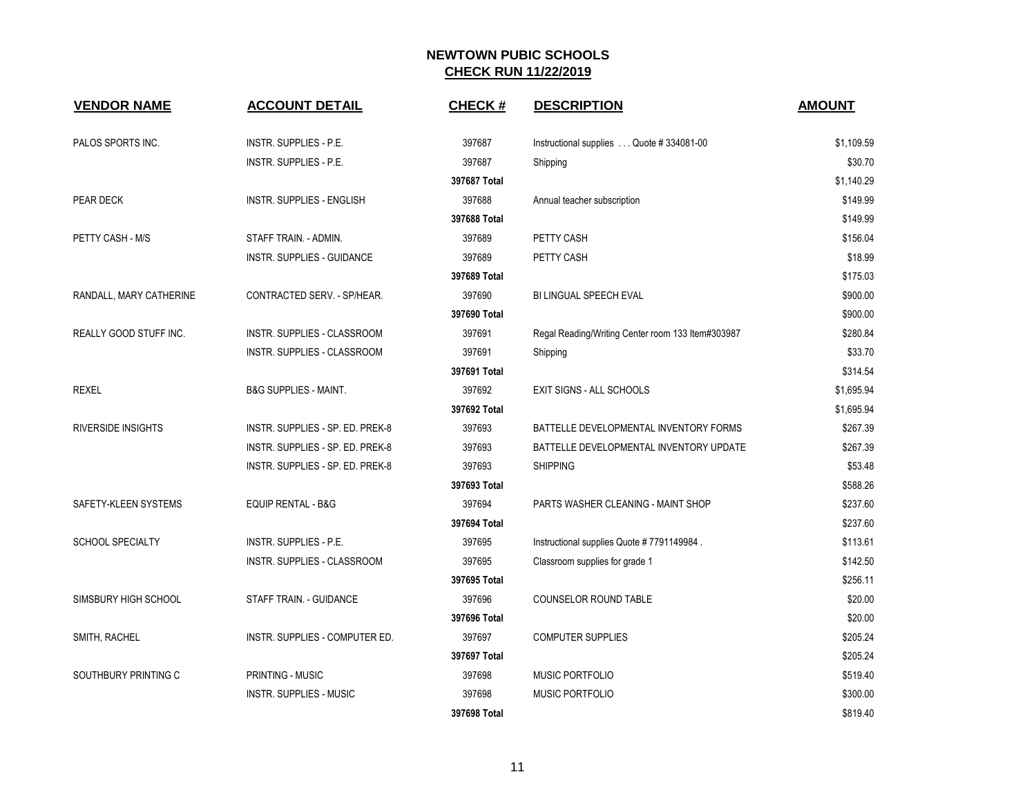| <b>VENDOR NAME</b>        | <b>ACCOUNT DETAIL</b>            | <b>CHECK#</b> | <b>DESCRIPTION</b>                                | <b>AMOUNT</b> |
|---------------------------|----------------------------------|---------------|---------------------------------------------------|---------------|
| PALOS SPORTS INC.         | <b>INSTR. SUPPLIES - P.E.</b>    | 397687        | Instructional supplies Quote #334081-00           | \$1,109.59    |
|                           | INSTR. SUPPLIES - P.E.           | 397687        | Shipping                                          | \$30.70       |
|                           |                                  | 397687 Total  |                                                   | \$1,140.29    |
| PEAR DECK                 | <b>INSTR. SUPPLIES - ENGLISH</b> | 397688        | Annual teacher subscription                       | \$149.99      |
|                           |                                  | 397688 Total  |                                                   | \$149.99      |
| PETTY CASH - M/S          | STAFF TRAIN. - ADMIN.            | 397689        | PETTY CASH                                        | \$156.04      |
|                           | INSTR. SUPPLIES - GUIDANCE       | 397689        | PETTY CASH                                        | \$18.99       |
|                           |                                  | 397689 Total  |                                                   | \$175.03      |
| RANDALL, MARY CATHERINE   | CONTRACTED SERV. - SP/HEAR.      | 397690        | <b>BI LINGUAL SPEECH EVAL</b>                     | \$900.00      |
|                           |                                  | 397690 Total  |                                                   | \$900.00      |
| REALLY GOOD STUFF INC.    | INSTR. SUPPLIES - CLASSROOM      | 397691        | Regal Reading/Writing Center room 133 Item#303987 | \$280.84      |
|                           | INSTR. SUPPLIES - CLASSROOM      | 397691        | Shipping                                          | \$33.70       |
|                           |                                  | 397691 Total  |                                                   | \$314.54      |
| <b>REXEL</b>              | B&G SUPPLIES - MAINT.            | 397692        | <b>EXIT SIGNS - ALL SCHOOLS</b>                   | \$1,695.94    |
|                           |                                  | 397692 Total  |                                                   | \$1,695.94    |
| <b>RIVERSIDE INSIGHTS</b> | INSTR. SUPPLIES - SP. ED. PREK-8 | 397693        | BATTELLE DEVELOPMENTAL INVENTORY FORMS            | \$267.39      |
|                           | INSTR. SUPPLIES - SP. ED. PREK-8 | 397693        | BATTELLE DEVELOPMENTAL INVENTORY UPDATE           | \$267.39      |
|                           | INSTR. SUPPLIES - SP. ED. PREK-8 | 397693        | <b>SHIPPING</b>                                   | \$53.48       |
|                           |                                  | 397693 Total  |                                                   | \$588.26      |
| SAFETY-KLEEN SYSTEMS      | EQUIP RENTAL - B&G               | 397694        | PARTS WASHER CLEANING - MAINT SHOP                | \$237.60      |
|                           |                                  | 397694 Total  |                                                   | \$237.60      |
| <b>SCHOOL SPECIALTY</b>   | INSTR. SUPPLIES - P.E.           | 397695        | Instructional supplies Quote # 7791149984.        | \$113.61      |
|                           | INSTR. SUPPLIES - CLASSROOM      | 397695        | Classroom supplies for grade 1                    | \$142.50      |
|                           |                                  | 397695 Total  |                                                   | \$256.11      |
| SIMSBURY HIGH SCHOOL      | STAFF TRAIN. - GUIDANCE          | 397696        | COUNSELOR ROUND TABLE                             | \$20.00       |
|                           |                                  | 397696 Total  |                                                   | \$20.00       |
| SMITH, RACHEL             | INSTR. SUPPLIES - COMPUTER ED.   | 397697        | <b>COMPUTER SUPPLIES</b>                          | \$205.24      |
|                           |                                  | 397697 Total  |                                                   | \$205.24      |
| SOUTHBURY PRINTING C      | PRINTING - MUSIC                 | 397698        | MUSIC PORTFOLIO                                   | \$519.40      |
|                           | <b>INSTR. SUPPLIES - MUSIC</b>   | 397698        | MUSIC PORTFOLIO                                   | \$300.00      |
|                           |                                  | 397698 Total  |                                                   | \$819.40      |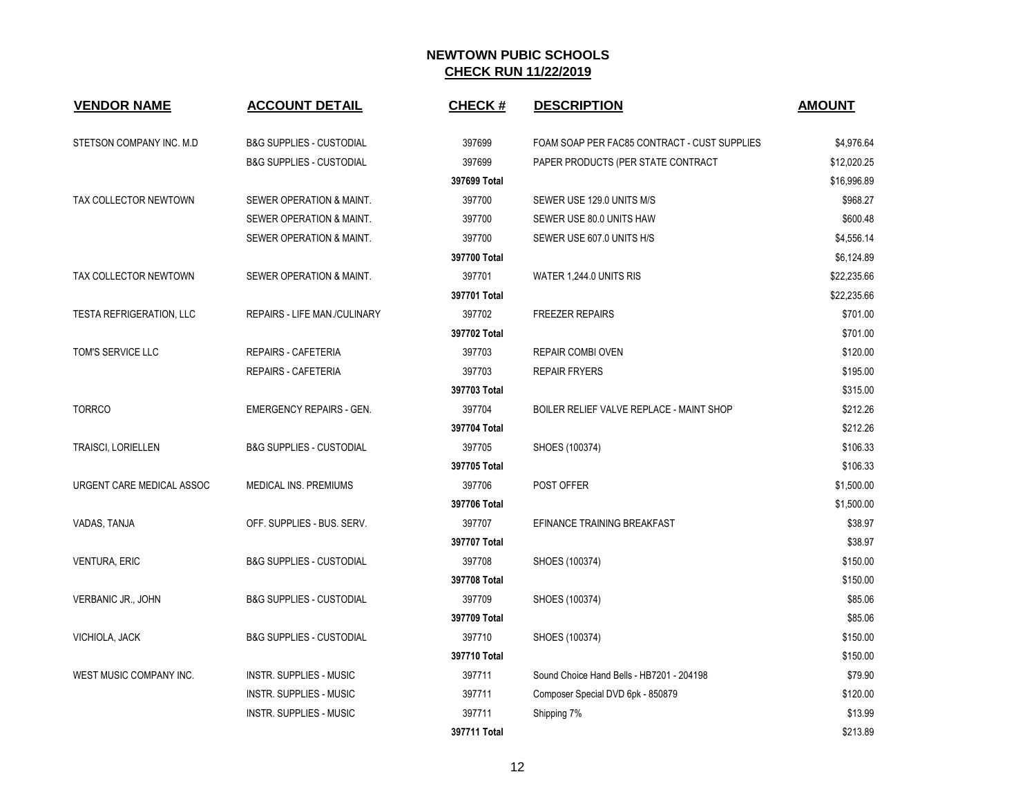| <b>VENDOR NAME</b>              | <b>ACCOUNT DETAIL</b>               | <b>CHECK#</b> | <b>DESCRIPTION</b>                           | <b>AMOUNT</b> |
|---------------------------------|-------------------------------------|---------------|----------------------------------------------|---------------|
| STETSON COMPANY INC. M.D        | <b>B&amp;G SUPPLIES - CUSTODIAL</b> | 397699        | FOAM SOAP PER FAC85 CONTRACT - CUST SUPPLIES | \$4,976.64    |
|                                 | <b>B&amp;G SUPPLIES - CUSTODIAL</b> | 397699        | PAPER PRODUCTS (PER STATE CONTRACT           | \$12,020.25   |
|                                 |                                     | 397699 Total  |                                              | \$16,996.89   |
| TAX COLLECTOR NEWTOWN           | SEWER OPERATION & MAINT.            | 397700        | SEWER USE 129.0 UNITS M/S                    | \$968.27      |
|                                 | SEWER OPERATION & MAINT.            | 397700        | SEWER USE 80.0 UNITS HAW                     | \$600.48      |
|                                 | SEWER OPERATION & MAINT.            | 397700        | SEWER USE 607.0 UNITS H/S                    | \$4,556.14    |
|                                 |                                     | 397700 Total  |                                              | \$6,124.89    |
| TAX COLLECTOR NEWTOWN           | SEWER OPERATION & MAINT.            | 397701        | WATER 1,244.0 UNITS RIS                      | \$22,235.66   |
|                                 |                                     | 397701 Total  |                                              | \$22,235.66   |
| <b>TESTA REFRIGERATION, LLC</b> | REPAIRS - LIFE MAN./CULINARY        | 397702        | <b>FREEZER REPAIRS</b>                       | \$701.00      |
|                                 |                                     | 397702 Total  |                                              | \$701.00      |
| TOM'S SERVICE LLC               | REPAIRS - CAFETERIA                 | 397703        | <b>REPAIR COMBI OVEN</b>                     | \$120.00      |
|                                 | REPAIRS - CAFETERIA                 | 397703        | <b>REPAIR FRYERS</b>                         | \$195.00      |
|                                 |                                     | 397703 Total  |                                              | \$315.00      |
| <b>TORRCO</b>                   | <b>EMERGENCY REPAIRS - GEN.</b>     | 397704        | BOILER RELIEF VALVE REPLACE - MAINT SHOP     | \$212.26      |
|                                 |                                     | 397704 Total  |                                              | \$212.26      |
| <b>TRAISCI, LORIELLEN</b>       | <b>B&amp;G SUPPLIES - CUSTODIAL</b> | 397705        | SHOES (100374)                               | \$106.33      |
|                                 |                                     | 397705 Total  |                                              | \$106.33      |
| URGENT CARE MEDICAL ASSOC       | MEDICAL INS. PREMIUMS               | 397706        | POST OFFER                                   | \$1,500.00    |
|                                 |                                     | 397706 Total  |                                              | \$1,500.00    |
| VADAS, TANJA                    | OFF. SUPPLIES - BUS. SERV.          | 397707        | EFINANCE TRAINING BREAKFAST                  | \$38.97       |
|                                 |                                     | 397707 Total  |                                              | \$38.97       |
| <b>VENTURA, ERIC</b>            | <b>B&amp;G SUPPLIES - CUSTODIAL</b> | 397708        | SHOES (100374)                               | \$150.00      |
|                                 |                                     | 397708 Total  |                                              | \$150.00      |
| VERBANIC JR., JOHN              | <b>B&amp;G SUPPLIES - CUSTODIAL</b> | 397709        | SHOES (100374)                               | \$85.06       |
|                                 |                                     | 397709 Total  |                                              | \$85.06       |
| VICHIOLA, JACK                  | <b>B&amp;G SUPPLIES - CUSTODIAL</b> | 397710        | SHOES (100374)                               | \$150.00      |
|                                 |                                     | 397710 Total  |                                              | \$150.00      |
| WEST MUSIC COMPANY INC.         | <b>INSTR. SUPPLIES - MUSIC</b>      | 397711        | Sound Choice Hand Bells - HB7201 - 204198    | \$79.90       |
|                                 | <b>INSTR. SUPPLIES - MUSIC</b>      | 397711        | Composer Special DVD 6pk - 850879            | \$120.00      |
|                                 | <b>INSTR. SUPPLIES - MUSIC</b>      | 397711        | Shipping 7%                                  | \$13.99       |
|                                 |                                     | 397711 Total  |                                              | \$213.89      |